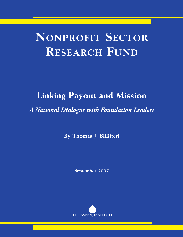# **NONPROFIT SECTOR RESEARCH FUND**

# **Linking Payout and Mission**

*A National Dialogue with Foundation Leaders*

**By Thomas J. Billitteri**

**September 2007**

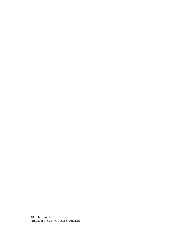All rights reserved Printed in the United States of America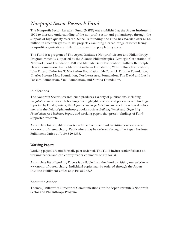## *Nonprofit Sector Research Fund*

The Nonprofit Sector Research Fund (NSRF) was established at the Aspen Institute in 1991 to increase understanding of the nonprofit sector and philanthropy through the support of high-quality research. Since its founding, the Fund has awarded over \$11.5 million in research grants to 420 projects examining a broad range of issues facing nonprofit organizations, philanthropy, and the people they serve.

The Fund is a program of The Aspen Institute's Nonprofit Sector and Philanthropy Program, which is supported by the Atlantic Philanthropies, Carnegie Corporation of New York, Ford Foundation, Bill and Melinda Gates Foundation, William Randolph Hearst Foundation, Ewing Marion Kauffman Foundation, W.K. Kellogg Foundation, John D. and Catherine T. MacArthur Foundation, McCormick Tribune Foundation, Charles Stewart Mott Foundation, Northwest Area Foundation, The David and Lucile Packard Foundation, Skoll Foundation, and Surdna Foundation.

#### **Publications**

The Nonprofit Sector Research Fund produces a variety of publications, including *Snapshots*, concise research briefings that highlight practical and policy-relevant findings reported by Fund grantees; the *Aspen Philanthropy Letter,* an e-newsletter on new developments in the field of philanthropy; books, such as *Building Wealth* and *Organizing Foundations for Maximum Impact;* and working papers that present findings of Fundsupported research.

A complete list of publications is available from the Fund by visiting our website at www.nonprofitresearch.org. Publications may be ordered through the Aspen Institute Fulfillment Office at (410) 820-5338.

#### **Working Papers**

Working papers are not formally peer-reviewed. The Fund invites reader feeback on working papers and can convey reader comments to author(s).

A complete list of Working Papers is available from the Fund by visiting our website at www.nonprofitresearch.org. Individual copies may be ordered through the Aspen Institute Fulfillment Office at (410) 820-5338.

#### **About the Author**

Thomas J. Billitteri is Director of Communications for the Aspen Institute's Nonprofit Sector and Philanthropy Program.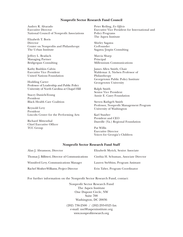#### **Nonprofit Sector Research Fund Council**

Audrey R. Alvarado Executive Director National Council of Nonprofit Associations

Elizabeth T. Boris Director Center on Nonprofits and Philanthropy The Urban Institute

Jeffrey L. Bradach Managing Partner Bridgespan Consulting

Kathy Bushkin Calvin Executive Vice President United Nations Foundation

Hodding Carter Professor of Leadership and Public Policy University of North Carolina at Chapel Hill

Stacey Daniels-Young President Black Health Care Coalition

Reynold Levy President Lincoln Center for the Performing Arts

Richard Mittenthal Chief Executive Officer TCC Group

Peter Reiling, *Ex Officio* Executive Vice President for International and Policy Programs The Aspen Institute

Shirley Sagawa Co-Founder Sagawa/Jospin Consulting

Marcia Sharp Principal Millennium Communications

James Allen Smith, Chair Waldemar A. Nielsen Professor of Philanthropy Georgetown Public Policy Institute Georgetown University

Ralph Smith Senior Vice President Annie E. Casey Foundation

Steven Rathgeb Smith Professor, Nonprofit Management Program University of Washington

Karl Stauber President and CEO Danville (Va.) Regional Foundation

Pat Willis Executive Director Voices for Georgia's Children

#### **Nonprofit Sector Research Fund Staff**

| Alan J. Abramson, Director                       | Elizabeth Myrick, Senior Associate     |
|--------------------------------------------------|----------------------------------------|
| Thomas J. Billitteri, Director of Communications | Cinthia H. Schuman, Associate Director |
| Winnifred Levy, Communications Manager           | Lauren Stebbins, Program Assistant     |
| Rachel Mosher-Williams, Project Director         | Erin Taber, Program Coordinator        |

For further information on the Nonprofit Sector Research Fund, contact:

Nonprofit Sector Research Fund The Aspen Institute One Dupont Circle, NW Suite 700 Washington, DC 20036

(202) 736-2500 / (202)293-0525 fax e-mail: nsrf@aspeninstitute.org www.nonprofitresearch.org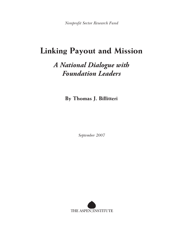*Nonprofit Sector Research Fund*

## **Linking Payout and Mission**

## *A National Dialogue with Foundation Leaders*

**By Thomas J. Billitteri**

*September 2007*

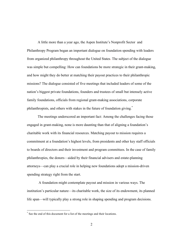A little more than a year ago, the Aspen Institute's Nonprofit Sector and Philanthropy Program began an important dialogue on foundation spending with leaders from organized philanthropy throughout the United States. The subject of the dialogue was simple but compelling: How can foundations be more strategic in their grant-making, and how might they do better at matching their payout practices to their philanthropic missions? The dialogue consisted of five meetings that included leaders of some of the nation's biggest private foundations, founders and trustees of small but intensely active family foundations, officials from regional grant-making associations, corporate philanthropists, and others with stakes in the future of foundation giving.<sup>\*</sup>

The meetings underscored an important fact: Among the challenges facing those engaged in grant-making, none is more daunting than that of aligning a foundation's charitable work with its financial resources. Matching payout to mission requires a commitment at a foundation's highest levels, from presidents and other key staff officials to boards of directors and their investment and program committees. In the case of family philanthropies, the donors—aided by their financial advisers and estate-planning attorneys—can play a crucial role in helping new foundations adopt a mission-driven spending strategy right from the start.

A foundation might contemplate payout and mission in various ways. The institution's particular nature—its charitable work, the size of its endowment, its planned life span—will typically play a strong role in shaping spending and program decisions.

 <sup>\*</sup> See the end of this document for <sup>a</sup> list of the meetings and their locations.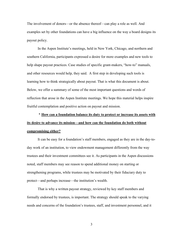The involvement of donors—or the absence thereof—can play a role as well. And examples set by other foundations can have a big influence on the way a board designs its payout policy.

In the Aspen Institute's meetings, held in New York, Chicago, and northern and southern California, participants expressed a desire for more examples and new tools to help shape payout practices. Case studies of specific grant-makers, "how-to" manuals, and other resources would help, they said. A first step in developing such tools is learning how to think strategically about payout. That is what this document is about. Below, we offer a summary of some of the most important questions and words of reflection that arose in the Aspen Institute meetings. We hope this material helps inspire fruitful contemplation and positive action on payout and mission.

## \* **How can a foundation balance its duty to protect or increase its assets with its desire to advance its mission—and how can the foundation do both without compromising either?**

It can be easy for a foundation's staff members, engaged as they are in the day-today work of an institution, to view endowment management differently from the way trustees and their investment committees see it. As participants in the Aspen discussions noted, staff members may see reason to spend additional money on starting or strengthening programs, while trustees may be motivated by their fiduciary duty to protect—and perhaps increase—the institution's wealth.

That is why a written payout strategy, reviewed by key staff members and formally endorsed by trustees, is important. The strategy should speak to the varying needs and concerns of the foundation's trustees, staff, and investment personnel, and it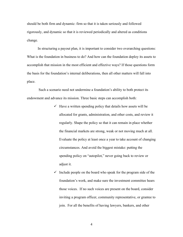should be both firm and dynamic: firm so that it is taken seriously and followed rigorously, and dynamic so that it is reviewed periodically and altered as conditions change.

In structuring a payout plan, it is important to consider two overarching questions: What is the foundation in business to do? And how can the foundation deploy its assets to accomplish that mission in the most efficient and effective ways? If those questions form the basis for the foundation's internal deliberations, then all other matters will fall into place.

Such a scenario need not undermine a foundation's ability to both protect its endowment and advance its mission. Three basic steps can accomplish both:

- $\checkmark$  Have a written spending policy that details how assets will be allocated for grants, administration, and other costs, and review it regularly. Shape the policy so that it can remain in place whether the financial markets are strong, weak or not moving much at all. Evaluate the policy at least once a year to take account of changing circumstances. And avoid the biggest mistake: putting the spending policy on "autopilot," never going back to review or adjust it.
- $\checkmark$  Include people on the board who speak for the program side of the foundation's work, and make sure the investment committee hears those voices. If no such voices are present on the board, consider inviting a program officer, community representative, or grantee to join. For all the benefits of having lawyers, bankers, and other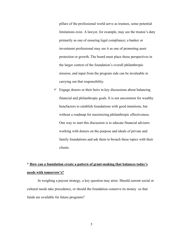pillars of the professional world serve as trustees, some potential limitations exist. A lawyer, for example, may see the trustee's duty primarily as one of ensuring legal compliance; a banker or investment professional may see it as one of promoting asset protection or growth. The board must place those perspectives in the larger context of the foundation's overall philanthropic mission, and input from the program side can be invaluable in carrying out that responsibility.

 $\checkmark$  Engage donors or their heirs in key discussions about balancing financial and philanthropic goals. It is not uncommon for wealthy benefactors to establish foundations with good intentions, but without a roadmap for maximizing philanthropic effectiveness. One way to start this discussion is to educate financial advisers working with donors on the purpose and ideals of private and family foundations and ask them to broach these topics with their clients.

### **\* How can a foundation create a pattern of grant-making that balances today's needs with tomorrow's?**

In weighing a payout strategy, a key question may arise: Should current social or cultural needs take precedence, or should the foundation conserve its money so that funds are available for future programs?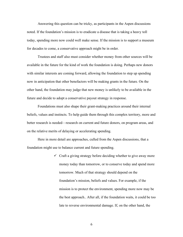Answering this question can be tricky, as participants in the Aspen discussions noted. If the foundation's mission is to eradicate a disease that is taking a heavy toll today, spending more now could well make sense. If the mission is to support a museum for decades to come, a conservative approach might be in order.

Trustees and staff also must consider whether money from other sources will be available in the future for the kind of work the foundation is doing. Perhaps new donors with similar interests are coming forward, allowing the foundation to step up spending now in anticipation that other benefactors will be making grants in the future. On the other hand, the foundation may judge that new money is unlikely to be available in the future and decide to adopt a conservative payout strategy in response.

Foundations must also shape their grant-making practices around their internal beliefs, values and instincts. To help guide them through this complex territory, more and better research is needed—research on current and future donors, on program areas, and on the relative merits of delaying or accelerating spending.

Here in more detail are approaches, culled from the Aspen discussions, that a foundation might use to balance current and future spending.

> $\checkmark$  Craft a giving strategy before deciding whether to give away more money today than tomorrow, or to conserve today and spend more tomorrow. Much of that strategy should depend on the foundation's mission, beliefs and values. For example, if the mission is to protect the environment, spending more now may be the best approach.. After all, if the foundation waits, it could be too late to reverse environmental damage. If, on the other hand, the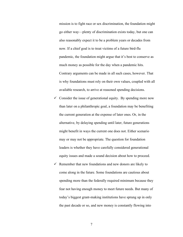mission is to fight race or sex discrimination, the foundation might go either way—plenty of discrimination exists today, but one can also reasonably expect it to be a problem years or decades from now. If a chief goal is to treat victims of a future bird-flu pandemic, the foundation might argue that it's best to conserve as much money as possible for the day when a pandemic hits. Contrary arguments can be made in all such cases, however. That is why foundations must rely on their own values, coupled with all available research, to arrive at reasoned spending decisions.

- $\checkmark$  Consider the issue of generational equity. By spending more now than later on a philanthropic goal, a foundation may be benefiting the current generation at the expense of later ones. Or, in the alternative, by delaying spending until later, future generations might benefit in ways the current one does not. Either scenario may or may not be appropriate. The question for foundation leaders is whether they have carefully considered generational equity issues and made a sound decision about how to proceed.
- $\checkmark$  Remember that new foundations and new donors are likely to come along in the future. Some foundations are cautious about spending more than the federally required minimum because they fear not having enough money to meet future needs. But many of today's biggest grant-making institutions have sprung up in only the past decade or so, and new money is constantly flowing into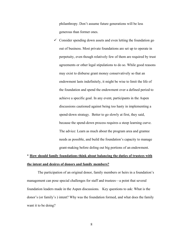philanthropy. Don't assume future generations will be less generous than former ones.

 $\checkmark$  Consider spending down assets and even letting the foundation go out of business. Most private foundations are set up to operate in perpetuity, even though relatively few of them are required by trust agreements or other legal stipulations to do so. While good reasons may exist to disburse grant money conservatively so that an endowment lasts indefinitely, it might be wise to limit the life of the foundation and spend the endowment over a defined period to achieve a specific goal. In any event, participants in the Aspen discussions cautioned against being too hasty in implementing a spend-down strategy. Better to go slowly at first, they said, because the spend-down process requires a steep learning curve. The advice: Learn as much about the program area and grantee needs as possible, and build the foundation's capacity to manage grant-making before doling out big portions of an endowment.

### \* **How should family foundations think about balancing the duties of trustees with the intent and desires of donors and family members?**

The participation of an original donor, family members or heirs in a foundation's management can pose special challenges for staff and trustees—a point that several foundation leaders made in the Aspen discussions. Key questions to ask: What is the donor's (or family's ) intent? Why was the foundation formed, and what does the family want it to be doing?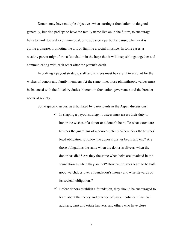Donors may have multiple objectives when starting a foundation: to do good generally, but also perhaps to have the family name live on in the future, to encourage heirs to work toward a common goal, or to advance a particular cause, whether it is curing a disease, promoting the arts or fighting a social injustice. In some cases, a wealthy parent might form a foundation in the hope that it will keep siblings together and communicating with each other after the parent's death.

In crafting a payout strategy, staff and trustees must be careful to account for the wishes of donors and family members. At the same time, those philanthropic values must be balanced with the fiduciary duties inherent in foundation governance and the broader needs of society.

Some specific issues, as articulated by participants in the Aspen discussions:

- $\checkmark$  In shaping a payout strategy, trustees must assess their duty to honor the wishes of a donor or a donor's heirs. To what extent are trustees the guardians of a donor's intent? Where does the trustees' legal obligation to follow the donor's wishes begin and end? Are those obligations the same when the donor is alive as when the donor has died? Are they the same when heirs are involved in the foundation as when they are not? How can trustees learn to be both good watchdogs over a foundation's money and wise stewards of its societal obligations?
- $\checkmark$  Before donors establish a foundation, they should be encouraged to learn about the theory and practice of payout policies. Financial advisers, trust and estate lawyers, and others who have close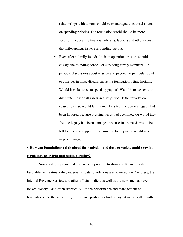relationships with donors should be encouraged to counsel clients on spending policies. The foundation world should be more forceful in educating financial advisers, lawyers and others about the philosophical issues surrounding payout.

 $\checkmark$  Even after a family foundation is in operation, trustees should engage the founding donor—or surviving family members—in periodic discussions about mission and payout. A particular point to consider in those discussions is the foundation's time horizon. Would it make sense to speed up payout? Would it make sense to distribute most or all assets in a set period? If the foundation ceased to exist, would family members feel the donor's legacy had been honored because pressing needs had been met? Or would they feel the legacy had been damaged because future needs would be left to others to support or because the family name would recede in prominence?

## **\* How can foundations think about their mission and duty to society amid growing regulatory oversight and public scrutiny?**

Nonprofit groups are under increasing pressure to show results and justify the favorable tax treatment they receive. Private foundations are no exception. Congress, the Internal Revenue Service, and other official bodies, as well as the news media, have looked closely—and often skeptically—at the performance and management of foundations. At the same time, critics have pushed for higher payout rates—either with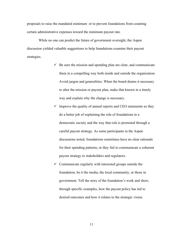proposals to raise the mandated minimum or to prevent foundations from counting certain administrative expenses toward the minimum payout rate.

While no one can predict the future of government oversight, the Aspen discussion yielded valuable suggestions to help foundations examine their payout strategies.

- $\checkmark$  Be sure the mission and spending plan are clear, and communicate them in a compelling way both inside and outside the organization. Avoid jargon and generalities. When the board deems it necessary to alter the mission or payout plan, make that known in a timely way and explain why the change is necessary.
- $\checkmark$  Improve the quality of annual reports and CEO statements so they do a better job of explaining the role of foundations in a democratic society and the way that role is promoted through a careful payout strategy. As some participants in the Aspen discussions noted, foundations sometimes have no clear rationale for their spending patterns, or they fail to communicate a coherent payout strategy to stakeholders and regulators.
- $\checkmark$  Communicate regularly with interested groups outside the foundation, be it the media, the local community, or those in government. Tell the story of the foundation's work and show, through specific examples, how the payout policy has led to desired outcomes and how it relates to the strategic vision.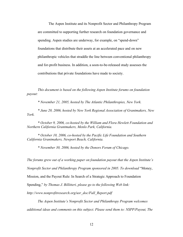The Aspen Institute and its Nonprofit Sector and Philanthropy Program are committed to supporting further research on foundation governance and spending. Aspen studies are underway, for example, on "spend-down" foundations that distribute their assets at an accelerated pace and on new philanthropic vehicles that straddle the line between conventional philanthropy and for-profit business. In addition, a soon-to-be-released study assesses the contributions that private foundations have made to society.

*This document is based on the following Aspen Institute forums on foundation payout:*

*\* November 21, 2005, hosted by The Atlantic Philanthropies, New York.*

*\* June 20, 2006, hosted by New York Regional Association of Grantmakers, New York.*

*\* October 9, 2006, co-hosted by the William and Flora Hewlett Foundation and Northern California Grantmakers, Menlo Park, California.*

*\* October 10, 2006, co-hosted by the Pacific Life Foundation and Southern California Grantmakers, Newport Beach, California.*

*\* November 30, 2006, hosted by the Donors Forum of Chicago.*

*The forums grew out of a working paper on foundation payout that the Aspen Institute's*

*Nonprofit Sector and Philanthropy Program sponsored in 2005. To download* "Money,

Mission, and the Payout Rule: In Search of a Strategic Approach to Foundation

Spending," *by Thomas J. Billitteri, please go to the following Web link:*

*http://www.nonprofitresearch.org/usr\_doc/Full\_Report.pdf*

*The Aspen Institute's Nonprofit Sector and Philanthropy Program welcomes*

*additional ideas and comments on this subject. Please send them to: NSPP/Payout, The*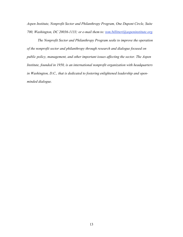*Aspen Institute, Nonprofit Sector and Philanthropy Program, One Dupont Circle, Suite 700, Washington, DC 20036-1133; or e-mail them to: tom.billitteri@aspeninstitute.org.*

*The Nonprofit Sector and Philanthropy Program seeks to improve the operation of the nonprofit sector and philanthropy through research and dialogue focused on public policy, management, and other important issues affecting the sector. The Aspen Institute, founded in 1950, is an international nonprofit organization with headquarters in Washington, D.C., that is dedicated to fostering enlightened leadership and openminded dialogue.*